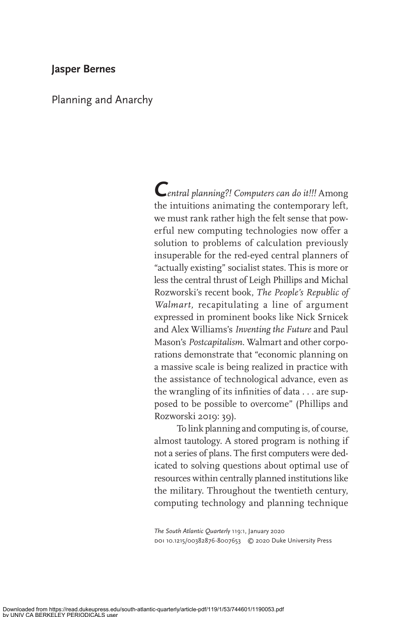# **Jasper Bernes**

Planning and Anarchy

**C***entral planning?! Computers can do it!!!* Among the intuitions animating the contemporary left, we must rank rather high the felt sense that powerful new computing technologies now offer a solution to problems of calculation previously insuperable for the red-eyed central planners of "actually existing" socialist states. This is more or less the central thrust of Leigh Phillips and Michal Rozworski's recent book, *The People's Republic of Walmart,* recapitulating a line of argument expressed in prominent books like Nick Srnicek and Alex Williams's *Inventing the Future* and Paul Mason's *Postcapitalism*. Walmart and other corporations demonstrate that "economic planning on a massive scale is being realized in practice with the assistance of technological advance, even as the wrangling of its infinities of data  $\dots$  are supposed to be possible to overcome" (Phillips and Rozworski 2019: 39).

To link planning and computing is, of course, almost tautology. A stored program is nothing if not a series of plans. The first computers were dedicated to solving questions about optimal use of resources within centrally planned institutions like the military. Throughout the twentieth century, computing technology and planning technique

The South Atlantic Quarterly 119:1, January 2020 doi 10.1215/00382876-8007653 © 2020 Duke University Press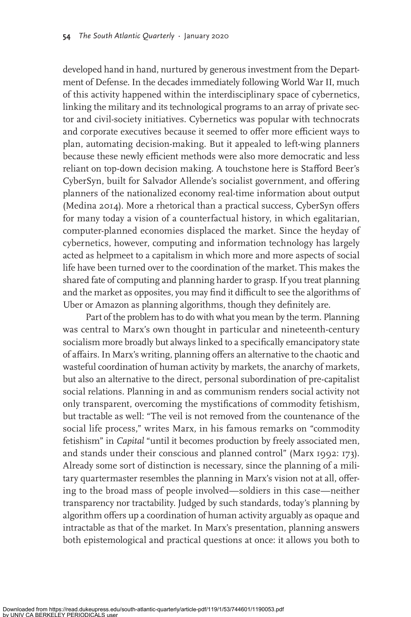developed hand in hand, nurtured by generous investment from the Department of Defense. In the decades immediately following World War II, much of this activity happened within the interdisciplinary space of cybernetics, linking the military and its technological programs to an array of private sector and civil-society initiatives. Cybernetics was popular with technocrats and corporate executives because it seemed to offer more efficient ways to plan, automating decision-making. But it appealed to left-wing planners because these newly efficient methods were also more democratic and less reliant on top-down decision making. A touchstone here is Stafford Beer's CyberSyn, built for Salvador Allende's socialist government, and offering planners of the nationalized economy real-time information about output (Medina 2014). More a rhetorical than a practical success, CyberSyn offers for many today a vision of a counterfactual history, in which egalitarian, computer-planned economies displaced the market. Since the heyday of cybernetics, however, computing and information technology has largely acted as helpmeet to a capitalism in which more and more aspects of social life have been turned over to the coordination of the market. This makes the shared fate of computing and planning harder to grasp. If you treat planning and the market as opposites, you may find it difficult to see the algorithms of Uber or Amazon as planning algorithms, though they definitely are.

Part of the problem has to do with what you mean by the term. Planning was central to Marx's own thought in particular and nineteenth-century socialism more broadly but always linked to a specifically emancipatory state of affairs. In Marx's writing, planning offers an alternative to the chaotic and wasteful coordination of human activity by markets, the anarchy of markets, but also an alternative to the direct, personal subordination of pre-capitalist social relations. Planning in and as communism renders social activity not only transparent, overcoming the mystifications of commodity fetishism, but tractable as well: "The veil is not removed from the countenance of the social life process," writes Marx, in his famous remarks on "commodity fetishism" in *Capital* "until it becomes production by freely associated men, and stands under their conscious and planned control" (Marx 1992: 173). Already some sort of distinction is necessary, since the planning of a military quartermaster resembles the planning in Marx's vision not at all, offering to the broad mass of people involved—soldiers in this case—neither transparency nor tractability. Judged by such standards, today's planning by algorithm offers up a coordination of human activity arguably as opaque and intractable as that of the market. In Marx's presentation, planning answers both epistemological and practical questions at once: it allows you both to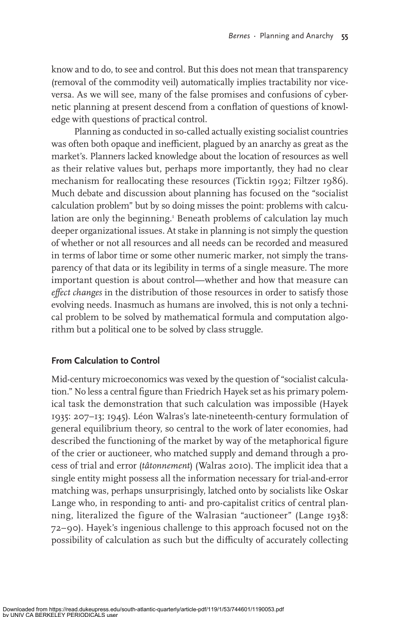know and to do, to see and control. But this does not mean that transparency (removal of the commodity veil) automatically implies tractability nor viceversa. As we will see, many of the false promises and confusions of cybernetic planning at present descend from a conflation of questions of knowledge with questions of practical control.

Planning as conducted in so-called actually existing socialist countries was often both opaque and inefficient, plagued by an anarchy as great as the market's. Planners lacked knowledge about the location of resources as well as their relative values but, perhaps more importantly, they had no clear mechanism for reallocating these resources (Ticktin 1992; Filtzer 1986). Much debate and discussion about planning has focused on the "socialist calculation problem" but by so doing misses the point: problems with calculation are only the beginning.<sup>1</sup> Beneath problems of calculation lay much deeper organizational issues. At stake in planning is not simply the question of whether or not all resources and all needs can be recorded and measured in terms of labor time or some other numeric marker, not simply the transparency of that data or its legibility in terms of a single measure. The more important question is about control—whether and how that measure can *effect changes* in the distribution of those resources in order to satisfy those evolving needs. Inasmuch as humans are involved, this is not only a technical problem to be solved by mathematical formula and computation algorithm but a political one to be solved by class struggle.

# **From Calculation to Control**

Mid-century microeconomics was vexed by the question of "socialist calculation." No less a central figure than Friedrich Hayek set as his primary polemical task the demonstration that such calculation was impossible (Hayek 1935: 207–13; 1945). Léon Walras's late-nineteenth-century formulation of general equilibrium theory, so central to the work of later economies, had described the functioning of the market by way of the metaphorical figure of the crier or auctioneer, who matched supply and demand through a process of trial and error (*tâtonnement*) (Walras 2010). The implicit idea that a single entity might possess all the information necessary for trial-and-error matching was, perhaps unsurprisingly, latched onto by socialists like Oskar Lange who, in responding to anti- and pro-capitalist critics of central planning, literalized the figure of the Walrasian "auctioneer" (Lange 1938: 72–90). Hayek's ingenious challenge to this approach focused not on the possibility of calculation as such but the difficulty of accurately collecting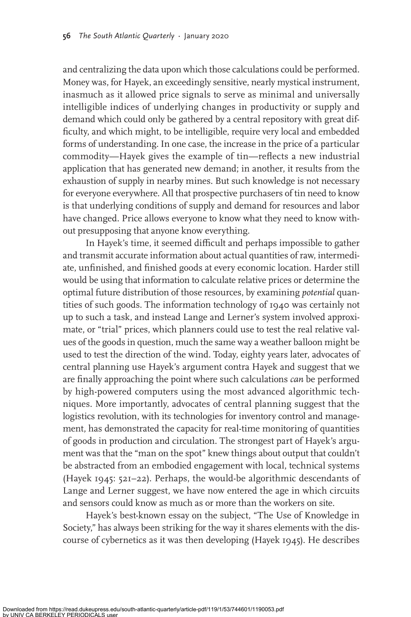and centralizing the data upon which those calculations could be performed. Money was, for Hayek, an exceedingly sensitive, nearly mystical instrument, inasmuch as it allowed price signals to serve as minimal and universally intelligible indices of underlying changes in productivity or supply and demand which could only be gathered by a central repository with great dif ficulty, and which might, to be intelligible, require very local and embedded forms of understanding. In one case, the increase in the price of a particular commodity—Hayek gives the example of tin—reflects a new industrial application that has generated new demand; in another, it results from the exhaustion of supply in nearby mines. But such knowledge is not necessary for everyone everywhere. All that prospective purchasers of tin need to know is that underlying conditions of supply and demand for resources and labor have changed. Price allows everyone to know what they need to know without presupposing that anyone know everything.

In Hayek's time, it seemed difficult and perhaps impossible to gather and transmit accurate information about actual quantities of raw, intermediate, unfinished, and finished goods at every economic location. Harder still would be using that information to calculate relative prices or determine the optimal future distribution of those resources, by examining *potential* quantities of such goods. The information technology of 1940 was certainly not up to such a task, and instead Lange and Lerner's system involved approximate, or "trial" prices, which planners could use to test the real relative values of the goods in question, much the same way a weather balloon might be used to test the direction of the wind. Today, eighty years later, advocates of central planning use Hayek's argument contra Hayek and suggest that we are finally approaching the point where such calculations *can* be performed by high-powered computers using the most advanced algorithmic techniques. More importantly, advocates of central planning suggest that the logistics revolution, with its technologies for inventory control and management, has demonstrated the capacity for real-time monitoring of quantities of goods in production and circulation. The strongest part of Hayek's argument was that the "man on the spot" knew things about output that couldn't be abstracted from an embodied engagement with local, technical systems (Hayek 1945: 521–22). Perhaps, the would-be algorithmic descendants of Lange and Lerner suggest, we have now entered the age in which circuits and sensors could know as much as or more than the workers on site.

Hayek's best-known essay on the subject, "The Use of Knowledge in Society," has always been striking for the way it shares elements with the discourse of cybernetics as it was then developing (Hayek 1945). He describes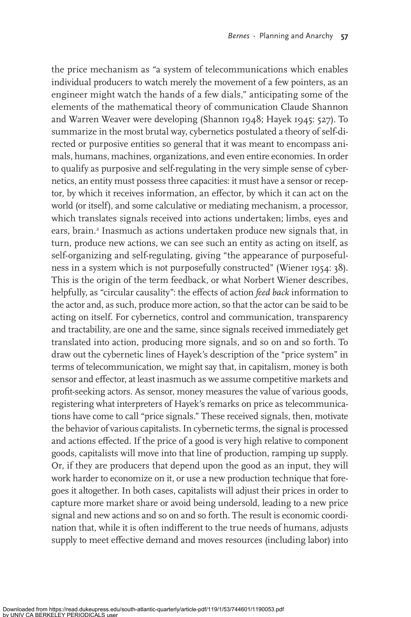the price mechanism as "a system of telecommunications which enables individual producers to watch merely the movement of a few pointers, as an engineer might watch the hands of a few dials," anticipating some of the elements of the mathematical theory of communication Claude Shannon and Warren Weaver were developing (Shannon 1948; Hayek 1945: 527). To summarize in the most brutal way, cybernetics postulated a theory of self-directed or purposive entities so general that it was meant to encompass animals, humans, machines, organizations, and even entire economies. In order to qualify as purposive and self-regulating in the very simple sense of cybernetics, an entity must possess three capacities: it must have a sensor or receptor, by which it receives information, an effector, by which it can act on the world (or itself), and some calculative or mediating mechanism, a processor, which translates signals received into actions undertaken; limbs, eyes and ears, brain.<sup>2</sup> Inasmuch as actions undertaken produce new signals that, in turn, produce new actions, we can see such an entity as acting on itself, as self-organizing and self-regulating, giving "the appearance of purposefulness in a system which is not purposefully constructed" (Wiener 1954: 38). This is the origin of the term feedback, or what Norbert Wiener describes, helpfully, as "circular causality": the effects of action *feed back* information to the actor and, as such, produce more action, so that the actor can be said to be acting on itself. For cybernetics, control and communication, transparency and tractability, are one and the same, since signals received immediately get translated into action, producing more signals, and so on and so forth. To draw out the cybernetic lines of Hayek's description of the "price system" in terms of telecommunication, we might say that, in capitalism, money is both sensor and effector, at least inasmuch as we assume competitive markets and profit-seeking actors. As sensor, money measures the value of various goods, registering what interpreters of Hayek's remarks on price as telecommunications have come to call "price signals." These received signals, then, motivate the behavior of various capitalists. In cybernetic terms, the signal is processed and actions effected. If the price of a good is very high relative to component goods, capitalists will move into that line of production, ramping up supply. Or, if they are producers that depend upon the good as an input, they will work harder to economize on it, or use a new production technique that foregoes it altogether. In both cases, capitalists will adjust their prices in order to capture more market share or avoid being undersold, leading to a new price signal and new actions and so on and so forth. The result is economic coordination that, while it is often indifferent to the true needs of humans, adjusts supply to meet effective demand and moves resources (including labor) into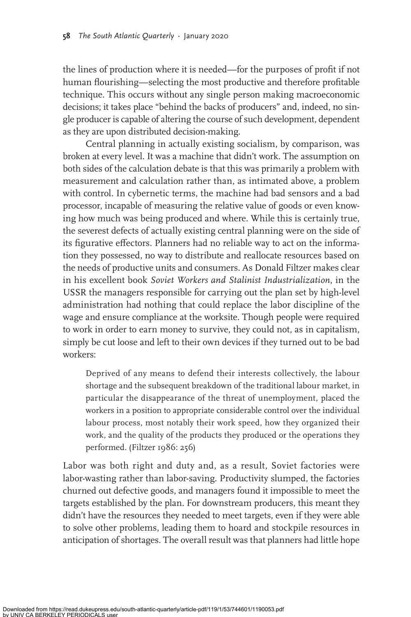the lines of production where it is needed—for the purposes of profit if not human flourishing—selecting the most productive and therefore profitable technique. This occurs without any single person making macroeconomic decisions; it takes place "behind the backs of producers" and, indeed, no single producer is capable of altering the course of such development, dependent as they are upon distributed decision-making.

Central planning in actually existing socialism, by comparison, was broken at every level. It was a machine that didn't work. The assumption on both sides of the calculation debate is that this was primarily a problem with measurement and calculation rather than, as intimated above, a problem with control. In cybernetic terms, the machine had bad sensors and a bad processor, incapable of measuring the relative value of goods or even knowing how much was being produced and where. While this is certainly true, the severest defects of actually existing central planning were on the side of its figurative effectors. Planners had no reliable way to act on the information they possessed, no way to distribute and reallocate resources based on the needs of productive units and consumers. As Donald Filtzer makes clear in his excellent book *Soviet Workers and Stalinist Industrialization*, in the USSR the managers responsible for carrying out the plan set by high-level administration had nothing that could replace the labor discipline of the wage and ensure compliance at the worksite. Though people were required to work in order to earn money to survive, they could not, as in capitalism, simply be cut loose and left to their own devices if they turned out to be bad workers:

Deprived of any means to defend their interests collectively, the labour shortage and the subsequent breakdown of the traditional labour market, in particular the disappearance of the threat of unemployment, placed the workers in a position to appropriate considerable control over the individual labour process, most notably their work speed, how they organized their work, and the quality of the products they produced or the operations they performed. (Filtzer 1986: 256)

Labor was both right and duty and, as a result, Soviet factories were labor-wasting rather than labor-saving. Productivity slumped, the factories churned out defective goods, and managers found it impossible to meet the targets established by the plan. For downstream producers, this meant they didn't have the resources they needed to meet targets, even if they were able to solve other problems, leading them to hoard and stockpile resources in anticipation of shortages. The overall result was that planners had little hope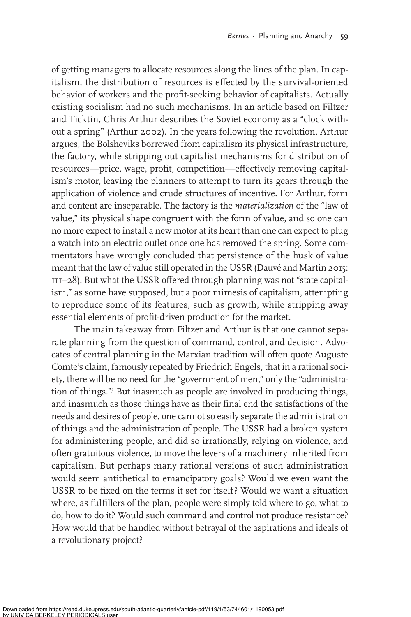of getting managers to allocate resources along the lines of the plan. In capitalism, the distribution of resources is effected by the survival-oriented behavior of workers and the profit-seeking behavior of capitalists. Actually existing socialism had no such mechanisms. In an article based on Filtzer and Ticktin, Chris Arthur describes the Soviet economy as a "clock without a spring" (Arthur 2002). In the years following the revolution, Arthur argues, the Bolsheviks borrowed from capitalism its physical infrastructure, the factory, while stripping out capitalist mechanisms for distribution of resources—price, wage, profit, competition—effectively removing capitalism's motor, leaving the planners to attempt to turn its gears through the application of violence and crude structures of incentive. For Arthur, form and content are inseparable. The factory is the *materialization* of the "law of value," its physical shape congruent with the form of value, and so one can no more expect to install a new motor at its heart than one can expect to plug a watch into an electric outlet once one has removed the spring. Some commentators have wrongly concluded that persistence of the husk of value meant that the law of value still operated in the USSR (Dauvé and Martin 2015: III-28). But what the USSR offered through planning was not "state capitalism," as some have supposed, but a poor mimesis of capitalism, attempting to reproduce some of its features, such as growth, while stripping away essential elements of profit-driven production for the market.

The main takeaway from Filtzer and Arthur is that one cannot separate planning from the question of command, control, and decision. Advocates of central planning in the Marxian tradition will often quote Auguste Comte's claim, famously repeated by Friedrich Engels, that in a rational society, there will be no need for the "government of men," only the "administration of things."3 But inasmuch as people are involved in producing things, and inasmuch as those things have as their final end the satisfactions of the needs and desires of people, one cannot so easily separate the administration of things and the administration of people. The USSR had a broken system for administering people, and did so irrationally, relying on violence, and often gratuitous violence, to move the levers of a machinery inherited from capitalism. But perhaps many rational versions of such administration would seem antithetical to emancipatory goals? Would we even want the USSR to be fixed on the terms it set for itself? Would we want a situation where, as fulfillers of the plan, people were simply told where to go, what to do, how to do it? Would such command and control not produce resistance? How would that be handled without betrayal of the aspirations and ideals of a revolutionary project?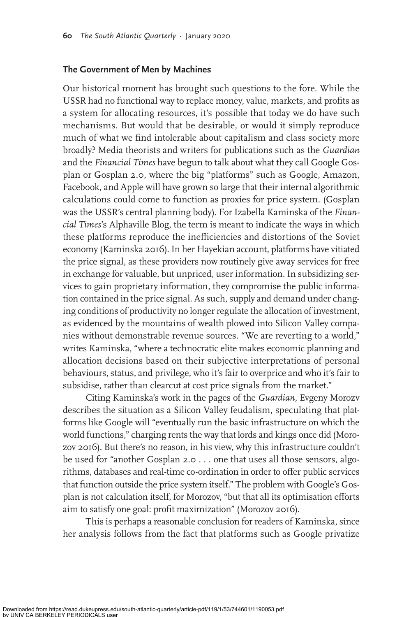### **The Government of Men by Machines**

Our historical moment has brought such questions to the fore. While the USSR had no functional way to replace money, value, markets, and profits as a system for allocating resources, it's possible that today we do have such mechanisms. But would that be desirable, or would it simply reproduce much of what we find intolerable about capitalism and class society more broadly? Media theorists and writers for publications such as the *Guardian* and the *Financial Times* have begun to talk about what they call Google Gosplan or Gosplan 2.0, where the big "platforms" such as Google, Amazon, Facebook, and Apple will have grown so large that their internal algorithmic calculations could come to function as proxies for price system. (Gosplan was the USSR's central planning body). For Izabella Kaminska of the *Financial Times*'s Alphaville Blog, the term is meant to indicate the ways in which these platforms reproduce the inefficiencies and distortions of the Soviet economy (Kaminska 2016). In her Hayekian account, platforms have vitiated the price signal, as these providers now routinely give away services for free in exchange for valuable, but unpriced, user information. In subsidizing services to gain proprietary information, they compromise the public information contained in the price signal. As such, supply and demand under changing conditions of productivity no longer regulate the allocation of investment, as evidenced by the mountains of wealth plowed into Silicon Valley companies without demonstrable revenue sources. "We are reverting to a world," writes Kaminska, "where a technocratic elite makes economic planning and allocation decisions based on their subjective interpretations of personal behaviours, status, and privilege, who it's fair to overprice and who it's fair to subsidise, rather than clearcut at cost price signals from the market."

Citing Kaminska's work in the pages of the *Guardian,* Evgeny Morozv describes the situation as a Silicon Valley feudalism, speculating that platforms like Google will "eventually run the basic infrastructure on which the world functions," charging rents the way that lords and kings once did (Morozov 2016). But there's no reason, in his view, why this infrastructure couldn't be used for "another Gosplan 2.0 . . . one that uses all those sensors, algorithms, databases and real-time co-ordination in order to offer public services that function outside the price system itself." The problem with Google's Gosplan is not calculation itself, for Morozov, "but that all its optimisation efforts aim to satisfy one goal: profit maximization" (Morozov 2016).

This is perhaps a reasonable conclusion for readers of Kaminska, since her analysis follows from the fact that platforms such as Google privatize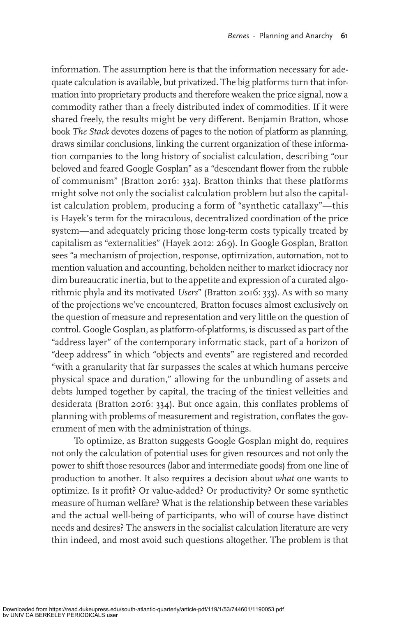information. The assumption here is that the information necessary for adequate calculation is available, but privatized. The big platforms turn that information into proprietary products and therefore weaken the price signal, now a commodity rather than a freely distributed index of commodities. If it were shared freely, the results might be very different. Benjamin Bratton, whose book *The Stack* devotes dozens of pages to the notion of platform as planning, draws similar conclusions, linking the current organization of these information companies to the long history of socialist calculation, describing "our beloved and feared Google Gosplan" as a "descendant flower from the rubble of communism" (Bratton 2016: 332). Bratton thinks that these platforms might solve not only the socialist calculation problem but also the capitalist calculation problem, producing a form of "synthetic catallaxy"—this is Hayek's term for the miraculous, decentralized coordination of the price system—and adequately pricing those long-term costs typically treated by capitalism as "externalities" (Hayek 2012: 269). In Google Gosplan, Bratton sees "a mechanism of projection, response, optimization, automation, not to mention valuation and accounting, beholden neither to market idiocracy nor dim bureaucratic inertia, but to the appetite and expression of a curated algorithmic phyla and its motivated *Users*" (Bratton 2016: 333). As with so many of the projections we've encountered, Bratton focuses almost exclusively on the question of measure and representation and very little on the question of control. Google Gosplan, as platform-of-platforms, is discussed as part of the "address layer" of the contemporary informatic stack, part of a horizon of "deep address" in which "objects and events" are registered and recorded "with a granularity that far surpasses the scales at which humans perceive physical space and duration," allowing for the unbundling of assets and debts lumped together by capital, the tracing of the tiniest velleities and desiderata (Bratton 2016: 334). But once again, this conflates problems of planning with problems of measurement and registration, conflates the government of men with the administration of things.

To optimize, as Bratton suggests Google Gosplan might do, requires not only the calculation of potential uses for given resources and not only the power to shift those resources (labor and intermediate goods) from one line of production to another. It also requires a decision about *what* one wants to optimize. Is it profit? Or value-added? Or productivity? Or some synthetic measure of human welfare? What is the relationship between these variables and the actual well-being of participants, who will of course have distinct needs and desires? The answers in the socialist calculation literature are very thin indeed, and most avoid such questions altogether. The problem is that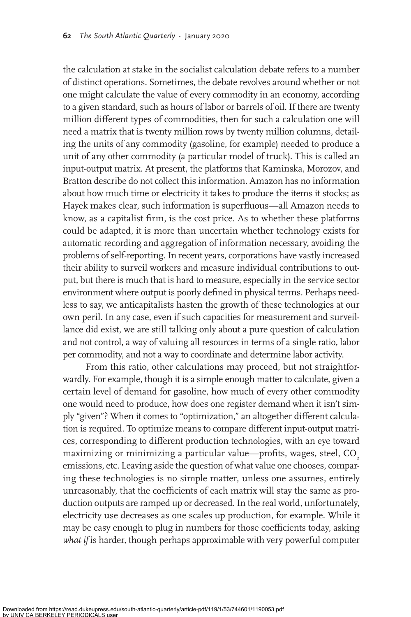the calculation at stake in the socialist calculation debate refers to a number of distinct operations. Sometimes, the debate revolves around whether or not one might calculate the value of every commodity in an economy, according to a given standard, such as hours of labor or barrels of oil. If there are twenty million different types of commodities, then for such a calculation one will need a matrix that is twenty million rows by twenty million columns, detailing the units of any commodity (gasoline, for example) needed to produce a unit of any other commodity (a particular model of truck). This is called an input-output matrix. At present, the platforms that Kaminska, Morozov, and Bratton describe do not collect this information. Amazon has no information about how much time or electricity it takes to produce the items it stocks; as Hayek makes clear, such information is superfluous-all Amazon needs to know, as a capitalist firm, is the cost price. As to whether these platforms could be adapted, it is more than uncertain whether technology exists for automatic recording and aggregation of information necessary, avoiding the problems of self-reporting. In recent years, corporations have vastly increased their ability to surveil workers and measure individual contributions to output, but there is much that is hard to measure, especially in the service sector environment where output is poorly defined in physical terms. Perhaps needless to say, we anticapitalists hasten the growth of these technologies at our own peril. In any case, even if such capacities for measurement and surveillance did exist, we are still talking only about a pure question of calculation and not control, a way of valuing all resources in terms of a single ratio, labor per commodity, and not a way to coordinate and determine labor activity.

From this ratio, other calculations may proceed, but not straightforwardly. For example, though it is a simple enough matter to calculate, given a certain level of demand for gasoline, how much of every other commodity one would need to produce, how does one register demand when it isn't simply "given"? When it comes to "optimization," an altogether different calculation is required. To optimize means to compare different input-output matrices, corresponding to different production technologies, with an eye toward maximizing or minimizing a particular value—profits, wages, steel, CO<sub>2</sub> emissions, etc. Leaving aside the question of what value one chooses, comparing these technologies is no simple matter, unless one assumes, entirely unreasonably, that the coefficients of each matrix will stay the same as production outputs are ramped up or decreased. In the real world, unfortunately, electricity use decreases as one scales up production, for example. While it may be easy enough to plug in numbers for those coefficients today, asking what if is harder, though perhaps approximable with very powerful computer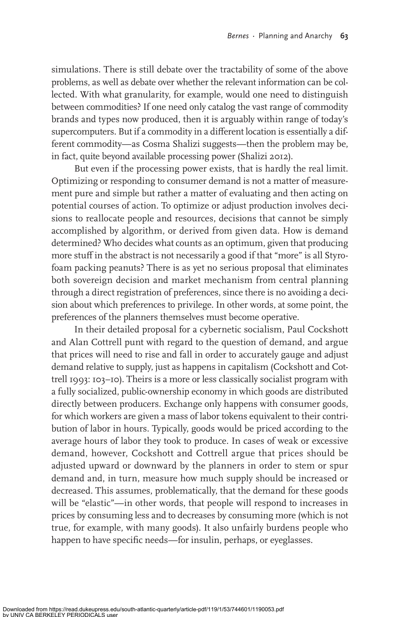simulations. There is still debate over the tractability of some of the above problems, as well as debate over whether the relevant information can be collected. With what granularity, for example, would one need to distinguish between commodities? If one need only catalog the vast range of commodity brands and types now produced, then it is arguably within range of today's supercomputers. But if a commodity in a different location is essentially a different commodity—as Cosma Shalizi suggests—then the problem may be, in fact, quite beyond available processing power (Shalizi 2012).

But even if the processing power exists, that is hardly the real limit. Optimizing or responding to consumer demand is not a matter of measurement pure and simple but rather a matter of evaluating and then acting on potential courses of action. To optimize or adjust production involves decisions to reallocate people and resources, decisions that cannot be simply accomplished by algorithm, or derived from given data. How is demand determined? Who decides what counts as an optimum, given that producing more stuff in the abstract is not necessarily a good if that "more" is all Styrofoam packing peanuts? There is as yet no serious proposal that eliminates both sovereign decision and market mechanism from central planning through a direct registration of preferences, since there is no avoiding a decision about which preferences to privilege. In other words, at some point, the preferences of the planners themselves must become operative.

In their detailed proposal for a cybernetic socialism, Paul Cockshott and Alan Cottrell punt with regard to the question of demand, and argue that prices will need to rise and fall in order to accurately gauge and adjust demand relative to supply, just as happens in capitalism (Cockshott and Cottrell 1993: 103–10). Theirs is a more or less classically socialist program with a fully socialized, public-ownership economy in which goods are distributed directly between producers. Exchange only happens with consumer goods, for which workers are given a mass of labor tokens equivalent to their contribution of labor in hours. Typically, goods would be priced according to the average hours of labor they took to produce. In cases of weak or excessive demand, however, Cockshott and Cottrell argue that prices should be adjusted upward or downward by the planners in order to stem or spur demand and, in turn, measure how much supply should be increased or decreased. This assumes, problematically, that the demand for these goods will be "elastic"—in other words, that people will respond to increases in prices by consuming less and to decreases by consuming more (which is not true, for example, with many goods). It also unfairly burdens people who happen to have specific needs—for insulin, perhaps, or eyeglasses.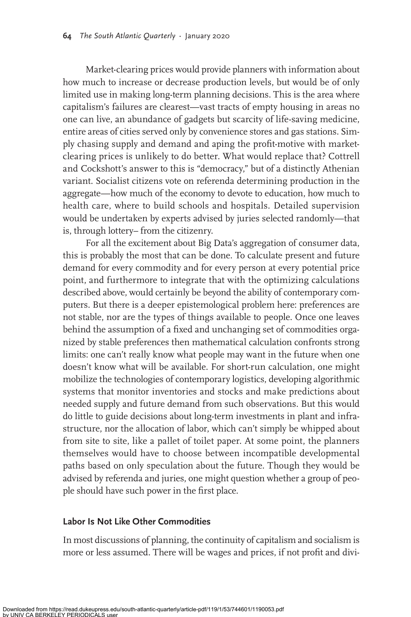Market-clearing prices would provide planners with information about how much to increase or decrease production levels, but would be of only limited use in making long-term planning decisions. This is the area where capitalism's failures are clearest—vast tracts of empty housing in areas no one can live, an abundance of gadgets but scarcity of life-saving medicine, entire areas of cities served only by convenience stores and gas stations. Simply chasing supply and demand and aping the profit-motive with marketclearing prices is unlikely to do better. What would replace that? Cottrell and Cockshott's answer to this is "democracy," but of a distinctly Athenian variant. Socialist citizens vote on referenda determining production in the aggregate—how much of the economy to devote to education, how much to health care, where to build schools and hospitals. Detailed supervision would be undertaken by experts advised by juries selected randomly—that is, through lottery– from the citizenry.

For all the excitement about Big Data's aggregation of consumer data, this is probably the most that can be done. To calculate present and future demand for every commodity and for every person at every potential price point, and furthermore to integrate that with the optimizing calculations described above, would certainly be beyond the ability of contemporary computers. But there is a deeper epistemological problem here: preferences are not stable, nor are the types of things available to people. Once one leaves behind the assumption of a fixed and unchanging set of commodities organized by stable preferences then mathematical calculation confronts strong limits: one can't really know what people may want in the future when one doesn't know what will be available. For short-run calculation, one might mobilize the technologies of contemporary logistics, developing algorithmic systems that monitor inventories and stocks and make predictions about needed supply and future demand from such observations. But this would do little to guide decisions about long-term investments in plant and infrastructure, nor the allocation of labor, which can't simply be whipped about from site to site, like a pallet of toilet paper. At some point, the planners themselves would have to choose between incompatible developmental paths based on only speculation about the future. Though they would be advised by referenda and juries, one might question whether a group of people should have such power in the first place.

## **Labor Is Not Like Other Commodities**

In most discussions of planning, the continuity of capitalism and socialism is more or less assumed. There will be wages and prices, if not profit and divi-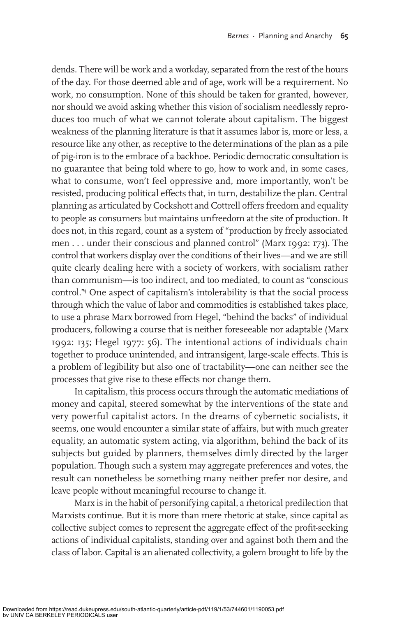dends. There will be work and a workday, separated from the rest of the hours of the day. For those deemed able and of age, work will be a requirement. No work, no consumption. None of this should be taken for granted, however, nor should we avoid asking whether this vision of socialism needlessly reproduces too much of what we cannot tolerate about capitalism. The biggest weakness of the planning literature is that it assumes labor is, more or less, a resource like any other, as receptive to the determinations of the plan as a pile of pig-iron is to the embrace of a backhoe. Periodic democratic consultation is no guarantee that being told where to go, how to work and, in some cases, what to consume, won't feel oppressive and, more importantly, won't be resisted, producing political effects that, in turn, destabilize the plan. Central planning as articulated by Cockshott and Cottrell offers freedom and equality to people as consumers but maintains unfreedom at the site of production. It does not, in this regard, count as a system of "production by freely associated men . . . under their conscious and planned control" (Marx 1992: 173). The control that workers display over the conditions of their lives—and we are still quite clearly dealing here with a society of workers, with socialism rather than communism—is too indirect, and too mediated, to count as "conscious control."4 One aspect of capitalism's intolerability is that the social process through which the value of labor and commodities is established takes place, to use a phrase Marx borrowed from Hegel, "behind the backs" of individual producers, following a course that is neither foreseeable nor adaptable (Marx 1992: 135; Hegel 1977: 56). The intentional actions of individuals chain together to produce unintended, and intransigent, large-scale effects. This is a problem of legibility but also one of tractability—one can neither see the processes that give rise to these effects nor change them.

In capitalism, this process occurs through the automatic mediations of money and capital, steered somewhat by the interventions of the state and very powerful capitalist actors. In the dreams of cybernetic socialists, it seems, one would encounter a similar state of affairs, but with much greater equality, an automatic system acting, via algorithm, behind the back of its subjects but guided by planners, themselves dimly directed by the larger population. Though such a system may aggregate preferences and votes, the result can nonetheless be something many neither prefer nor desire, and leave people without meaningful recourse to change it.

Marx is in the habit of personifying capital, a rhetorical predilection that Marxists continue. But it is more than mere rhetoric at stake, since capital as collective subject comes to represent the aggregate effect of the profit-seeking actions of individual capitalists, standing over and against both them and the class of labor. Capital is an alienated collectivity, a golem brought to life by the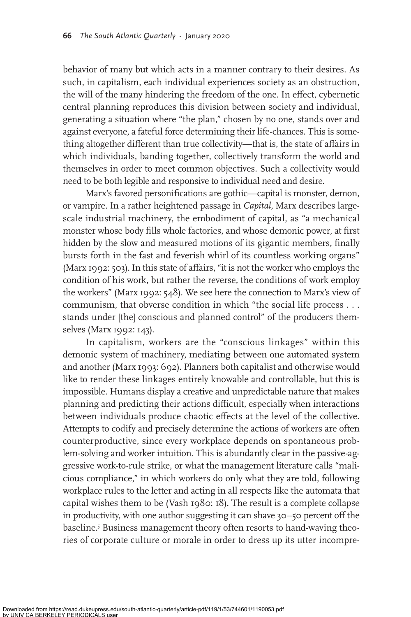behavior of many but which acts in a manner contrary to their desires. As such, in capitalism, each individual experiences society as an obstruction, the will of the many hindering the freedom of the one. In effect, cybernetic central planning reproduces this division between society and individual, generating a situation where "the plan," chosen by no one, stands over and against everyone, a fateful force determining their life-chances. This is something altogether different than true collectivity—that is, the state of affairs in which individuals, banding together, collectively transform the world and themselves in order to meet common objectives. Such a collectivity would need to be both legible and responsive to individual need and desire.

Marx's favored personifications are gothic—capital is monster, demon, or vampire. In a rather heightened passage in *Capital*, Marx describes largescale industrial machinery, the embodiment of capital, as "a mechanical monster whose body fills whole factories, and whose demonic power, at first hidden by the slow and measured motions of its gigantic members, finally bursts forth in the fast and feverish whirl of its countless working organs" (Marx 1992: 503). In this state of affairs, "it is not the worker who employs the condition of his work, but rather the reverse, the conditions of work employ the workers" (Marx 1992: 548). We see here the connection to Marx's view of communism, that obverse condition in which "the social life process . . . stands under [the] conscious and planned control" of the producers themselves (Marx 1992: 143).

In capitalism, workers are the "conscious linkages" within this demonic system of machinery, mediating between one automated system and another (Marx 1993: 692). Planners both capitalist and otherwise would like to render these linkages entirely knowable and controllable, but this is impossible. Humans display a creative and unpredictable nature that makes planning and predicting their actions difficult, especially when interactions between individuals produce chaotic effects at the level of the collective. Attempts to codify and precisely determine the actions of workers are often counterproductive, since every workplace depends on spontaneous problem-solving and worker intuition. This is abundantly clear in the passive-aggressive work-to-rule strike, or what the management literature calls "malicious compliance," in which workers do only what they are told, following workplace rules to the letter and acting in all respects like the automata that capital wishes them to be (Vash 1980: 18). The result is a complete collapse in productivity, with one author suggesting it can shave 30–50 percent off the baseline.5 Business management theory often resorts to hand-waving theories of corporate culture or morale in order to dress up its utter incompre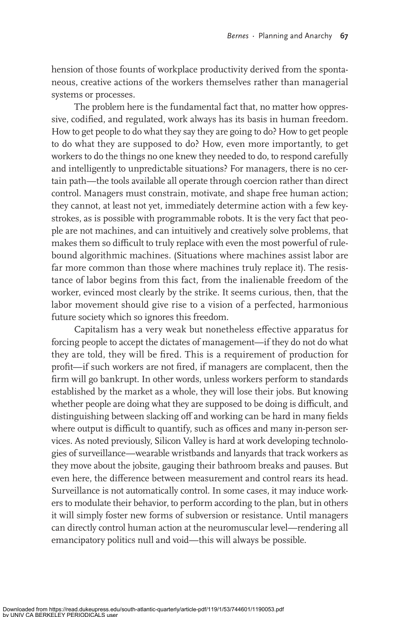hension of those founts of workplace productivity derived from the spontaneous, creative actions of the workers themselves rather than managerial systems or processes.

The problem here is the fundamental fact that, no matter how oppressive, codified, and regulated, work always has its basis in human freedom. How to get people to do what they say they are going to do? How to get people to do what they are supposed to do? How, even more importantly, to get workers to do the things no one knew they needed to do, to respond carefully and intelligently to unpredictable situations? For managers, there is no certain path—the tools available all operate through coercion rather than direct control. Managers must constrain, motivate, and shape free human action; they cannot, at least not yet, immediately determine action with a few keystrokes, as is possible with programmable robots. It is the very fact that people are not machines, and can intuitively and creatively solve problems, that makes them so difficult to truly replace with even the most powerful of rulebound algorithmic machines. (Situations where machines assist labor are far more common than those where machines truly replace it). The resistance of labor begins from this fact, from the inalienable freedom of the worker, evinced most clearly by the strike. It seems curious, then, that the labor movement should give rise to a vision of a perfected, harmonious future society which so ignores this freedom.

Capitalism has a very weak but nonetheless effective apparatus for forcing people to accept the dictates of management—if they do not do what they are told, they will be fired. This is a requirement of production for profit—if such workers are not fired, if managers are complacent, then the firm will go bankrupt. In other words, unless workers perform to standards established by the market as a whole, they will lose their jobs. But knowing whether people are doing what they are supposed to be doing is difficult, and distinguishing between slacking off and working can be hard in many fields where output is difficult to quantify, such as offices and many in-person services. As noted previously, Silicon Valley is hard at work developing technologies of surveillance—wearable wristbands and lanyards that track workers as they move about the jobsite, gauging their bathroom breaks and pauses. But even here, the difference between measurement and control rears its head. Surveillance is not automatically control. In some cases, it may induce workers to modulate their behavior, to perform according to the plan, but in others it will simply foster new forms of subversion or resistance. Until managers can directly control human action at the neuromuscular level—rendering all emancipatory politics null and void—this will always be possible.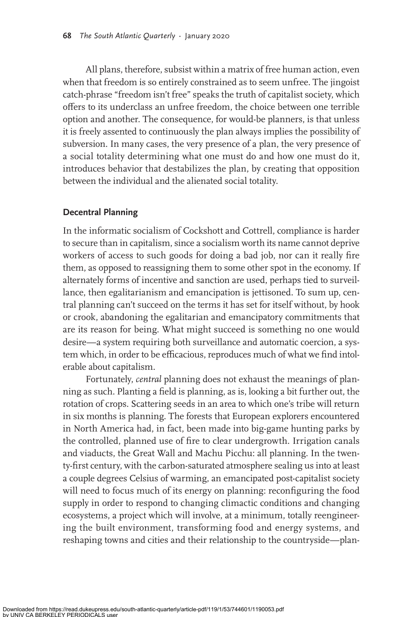All plans, therefore, subsist within a matrix of free human action, even when that freedom is so entirely constrained as to seem unfree. The jingoist catch-phrase "freedom isn't free" speaks the truth of capitalist society, which offers to its underclass an unfree freedom, the choice between one terrible option and another. The consequence, for would-be planners, is that unless it is freely assented to continuously the plan always implies the possibility of subversion. In many cases, the very presence of a plan, the very presence of a social totality determining what one must do and how one must do it, introduces behavior that destabilizes the plan, by creating that opposition between the individual and the alienated social totality.

# **Decentral Planning**

In the informatic socialism of Cockshott and Cottrell, compliance is harder to secure than in capitalism, since a socialism worth its name cannot deprive workers of access to such goods for doing a bad job, nor can it really fire them, as opposed to reassigning them to some other spot in the economy. If alternately forms of incentive and sanction are used, perhaps tied to surveillance, then egalitarianism and emancipation is jettisoned. To sum up, central planning can't succeed on the terms it has set for itself without, by hook or crook, abandoning the egalitarian and emancipatory commitments that are its reason for being. What might succeed is something no one would desire—a system requiring both surveillance and automatic coercion, a system which, in order to be efficacious, reproduces much of what we find intolerable about capitalism.

Fortunately, *central* planning does not exhaust the meanings of planning as such. Planting a field is planning, as is, looking a bit further out, the rotation of crops. Scattering seeds in an area to which one's tribe will return in six months is planning. The forests that European explorers encountered in North America had, in fact, been made into big-game hunting parks by the controlled, planned use of fire to clear undergrowth. Irrigation canals and viaducts, the Great Wall and Machu Picchu: all planning. In the twenty-first century, with the carbon-saturated atmosphere sealing us into at least a couple degrees Celsius of warming, an emancipated post-capitalist society will need to focus much of its energy on planning: reconfiguring the food supply in order to respond to changing climactic conditions and changing ecosystems, a project which will involve, at a minimum, totally reengineering the built environment, transforming food and energy systems, and reshaping towns and cities and their relationship to the countryside—plan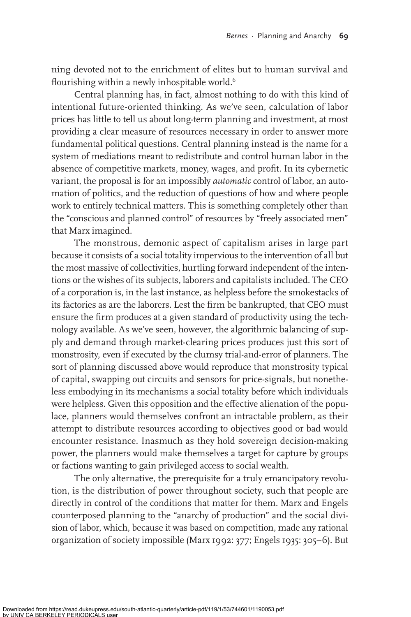ning devoted not to the enrichment of elites but to human survival and flourishing within a newly inhospitable world.<sup>6</sup>

Central planning has, in fact, almost nothing to do with this kind of intentional future-oriented thinking. As we've seen, calculation of labor prices has little to tell us about long-term planning and investment, at most providing a clear measure of resources necessary in order to answer more fundamental political questions. Central planning instead is the name for a system of mediations meant to redistribute and control human labor in the absence of competitive markets, money, wages, and profit. In its cybernetic variant, the proposal is for an impossibly *automatic* control of labor, an automation of politics, and the reduction of questions of how and where people work to entirely technical matters. This is something completely other than the "conscious and planned control" of resources by "freely associated men" that Marx imagined.

The monstrous, demonic aspect of capitalism arises in large part because it consists of a social totality impervious to the intervention of all but the most massive of collectivities, hurtling forward independent of the intentions or the wishes of its subjects, laborers and capitalists included. The CEO of a corporation is, in the last instance, as helpless before the smokestacks of its factories as are the laborers. Lest the firm be bankrupted, that CEO must ensure the firm produces at a given standard of productivity using the technology available. As we've seen, however, the algorithmic balancing of supply and demand through market-clearing prices produces just this sort of monstrosity, even if executed by the clumsy trial-and-error of planners. The sort of planning discussed above would reproduce that monstrosity typical of capital, swapping out circuits and sensors for price-signals, but nonetheless embodying in its mechanisms a social totality before which individuals were helpless. Given this opposition and the effective alienation of the populace, planners would themselves confront an intractable problem, as their attempt to distribute resources according to objectives good or bad would encounter resistance. Inasmuch as they hold sovereign decision-making power, the planners would make themselves a target for capture by groups or factions wanting to gain privileged access to social wealth.

The only alternative, the prerequisite for a truly emancipatory revolution, is the distribution of power throughout society, such that people are directly in control of the conditions that matter for them. Marx and Engels counterposed planning to the "anarchy of production" and the social division of labor, which, because it was based on competition, made any rational organization of society impossible (Marx 1992: 377; Engels 1935: 305–6). But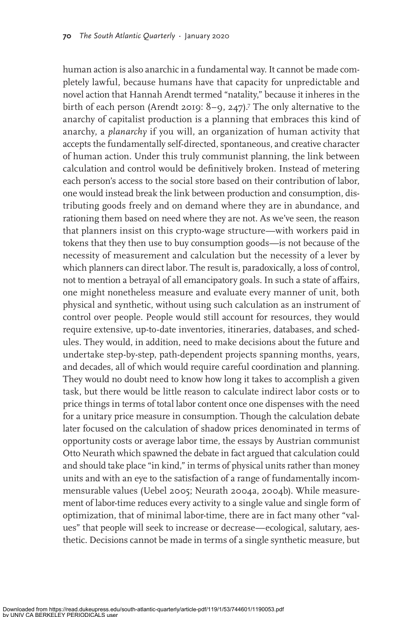human action is also anarchic in a fundamental way. It cannot be made completely lawful, because humans have that capacity for unpredictable and novel action that Hannah Arendt termed "natality," because it inheres in the birth of each person (Arendt 2019: 8–9, 247).<sup>7</sup> The only alternative to the anarchy of capitalist production is a planning that embraces this kind of anarchy, a *planarchy* if you will, an organization of human activity that accepts the fundamentally self-directed, spontaneous, and creative character of human action. Under this truly communist planning, the link between calculation and control would be definitively broken. Instead of metering each person's access to the social store based on their contribution of labor, one would instead break the link between production and consumption, distributing goods freely and on demand where they are in abundance, and rationing them based on need where they are not. As we've seen, the reason that planners insist on this crypto-wage structure—with workers paid in tokens that they then use to buy consumption goods—is not because of the necessity of measurement and calculation but the necessity of a lever by which planners can direct labor. The result is, paradoxically, a loss of control, not to mention a betrayal of all emancipatory goals. In such a state of affairs, one might nonetheless measure and evaluate every manner of unit, both physical and synthetic, without using such calculation as an instrument of control over people. People would still account for resources, they would require extensive, up-to-date inventories, itineraries, databases, and schedules. They would, in addition, need to make decisions about the future and undertake step-by-step, path-dependent projects spanning months, years, and decades, all of which would require careful coordination and planning. They would no doubt need to know how long it takes to accomplish a given task, but there would be little reason to calculate indirect labor costs or to price things in terms of total labor content once one dispenses with the need for a unitary price measure in consumption. Though the calculation debate later focused on the calculation of shadow prices denominated in terms of opportunity costs or average labor time, the essays by Austrian communist Otto Neurath which spawned the debate in fact argued that calculation could and should take place "in kind," in terms of physical units rather than money units and with an eye to the satisfaction of a range of fundamentally incommensurable values (Uebel 2005; Neurath 2004a, 2004b). While measurement of labor-time reduces every activity to a single value and single form of optimization, that of minimal labor-time, there are in fact many other "values" that people will seek to increase or decrease—ecological, salutary, aesthetic. Decisions cannot be made in terms of a single synthetic measure, but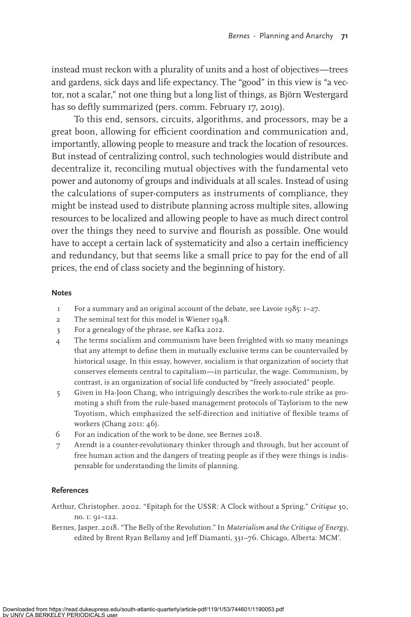instead must reckon with a plurality of units and a host of objectives—trees and gardens, sick days and life expectancy. The "good" in this view is "a vector, not a scalar," not one thing but a long list of things, as Björn Westergard has so deftly summarized (pers. comm. February 17, 2019).

To this end, sensors, circuits, algorithms, and processors, may be a great boon, allowing for efficient coordination and communication and, importantly, allowing people to measure and track the location of resources. But instead of centralizing control, such technologies would distribute and decentralize it, reconciling mutual objectives with the fundamental veto power and autonomy of groups and individuals at all scales. Instead of using the calculations of super-computers as instruments of compliance, they might be instead used to distribute planning across multiple sites, allowing resources to be localized and allowing people to have as much direct control over the things they need to survive and flourish as possible. One would have to accept a certain lack of systematicity and also a certain inefficiency and redundancy, but that seems like a small price to pay for the end of all prices, the end of class society and the beginning of history.

#### **Notes**

- 1 For a summary and an original account of the debate, see Lavoie 1985: 1–27.
- 2 The seminal text for this model is Wiener 1948.
- 3 For a genealogy of the phrase, see Kafka 2012.
- 4 The terms socialism and communism have been freighted with so many meanings that any attempt to define them in mutually exclusive terms can be countervailed by historical usage. In this essay, however, socialism is that organization of society that conserves elements central to capitalism—in particular, the wage. Communism, by contrast, is an organization of social life conducted by "freely associated" people.
- 5 Given in Ha-Joon Chang, who intriguingly describes the work-to-rule strike as promoting a shift from the rule-based management protocols of Taylorism to the new Toyotism, which emphasized the self-direction and initiative of flexible teams of workers (Chang 2011: 46).
- 6 For an indication of the work to be done, see Bernes 2018.
- 7 Arendt is a counter-revolutionary thinker through and through, but her account of free human action and the dangers of treating people as if they were things is indispensable for understanding the limits of planning.

### **References**

Arthur, Christopher. 2002. "Epitaph for the USSR: A Clock without a Spring." *Critique* 30, no. 1: 91–122.

Bernes, Jasper. 2018. "The Belly of the Revolution." In *Materialism and the Critique of Energy*, edited by Brent Ryan Bellamy and Jeff Diamanti, 331-76. Chicago, Alberta: MCM'.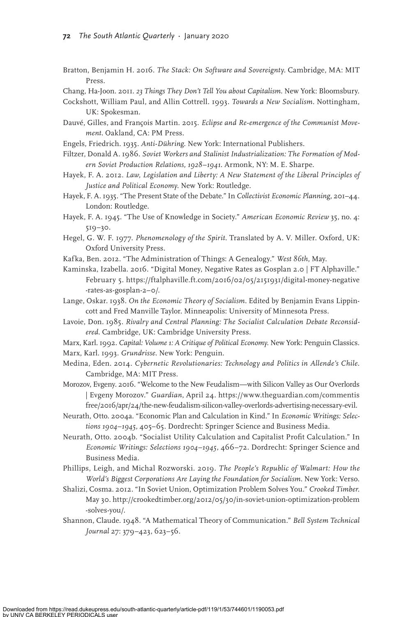Bratton, Benjamin H. 2016. *The Stack: On Software and Sovereignty*. Cambridge, MA: MIT Press.

Chang, Ha-Joon. 2011. *23 Things They Don't Tell You about Capitalism*. New York: Bloomsbury.

- Cockshott, William Paul, and Allin Cottrell. 1993. *Towards a New Socialism*. Nottingham, UK: Spokesman.
- Dauvé, Gilles, and François Martin. 2015. *Eclipse and Re-emergence of the Communist Movement*. Oakland, CA: PM Press.
- Engels, Friedrich. 1935. *Anti-Dühring*. New York: International Publishers.
- Filtzer, Donald A. 1986. *Soviet Workers and Stalinist Industrialization: The Formation of Modern Soviet Production Relations, 1928–1941*. Armonk, NY: M. E. Sharpe.
- Hayek, F. A. 2012. *Law, Legislation and Liberty: A New Statement of the Liberal Principles of Justice and Political Economy*. New York: Routledge.
- Hayek, F. A. 1935. "The Present State of the Debate." In *Collectivist Economic Planning*, 201–44. London: Routledge.
- Hayek, F. A. 1945. "The Use of Knowledge in Society." *American Economic Review* 35, no. 4: 519–30.
- Hegel, G. W. F. 1977. *Phenomenology of the Spirit*. Translated by A. V. Miller. Oxford, UK: Oxford University Press.
- Kafka, Ben. 2012. "The Administration of Things: A Genealogy." *West 86th*, May.
- Kaminska, Izabella. 2016. "Digital Money, Negative Rates as Gosplan 2.0 | FT Alphaville." February 5. https://ftalphaville.ft.com/2016/02/05/2151931/digital-money-negative -rates-as-gosplan-2–0/.
- Lange, Oskar. 1938. *On the Economic Theory of Socialism*. Edited by Benjamin Evans Lippincott and Fred Manville Taylor. Minneapolis: University of Minnesota Press.
- Lavoie, Don. 1985. *Rivalry and Central Planning: The Socialist Calculation Debate Reconsidered*. Cambridge, UK: Cambridge University Press.
- Marx, Karl. 1992. *Capital: Volume 1: A Critique of Political Economy*. New York: Penguin Classics. Marx, Karl. 1993. *Grundrisse*. New York: Penguin.
- Medina, Eden. 2014. *Cybernetic Revolutionaries: Technology and Politics in Allende's Chile*. Cambridge, MA: MIT Press.
- Morozov, Evgeny. 2016. "Welcome to the New Feudalism—with Silicon Valley as Our Overlords | Evgeny Morozov." *Guardian*, April 24. https://www.theguardian.com/commentis free/2016/apr/24/the-new-feudalism-silicon-valley-overlords-advertising-necessary-evil.
- Neurath, Otto. 2004a. "Economic Plan and Calculation in Kind." In *Economic Writings: Selections 1904–1945*, 405–65. Dordrecht: Springer Science and Business Media.
- Neurath, Otto. 2004b. "Socialist Utility Calculation and Capitalist Profit Calculation." In *Economic Writings: Selections 1904–1945*, 466–72. Dordrecht: Springer Science and Business Media.
- Phillips, Leigh, and Michal Rozworski. 2019. *The People's Republic of Walmart: How the World's Biggest Corporations Are Laying the Foundation for Socialism*. New York: Verso.
- Shalizi, Cosma. 2012. "In Soviet Union, Optimization Problem Solves You." *Crooked Timber*. May 30. http://crookedtimber.org/2012/05/30/in-soviet-union-optimization-problem -solves-you/.
- Shannon, Claude. 1948. "A Mathematical Theory of Communication." *Bell System Technical Journal* 27: 379–423, 623–56.